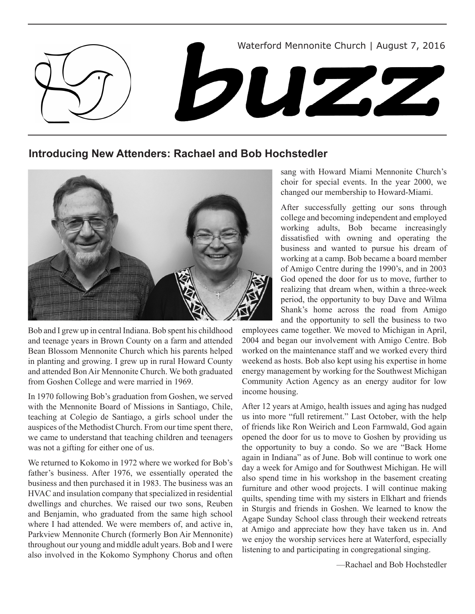

**Introducing New Attenders: Rachael and Bob Hochstedler**



Bob and I grew up in central Indiana. Bob spent his childhood and teenage years in Brown County on a farm and attended Bean Blossom Mennonite Church which his parents helped in planting and growing. I grew up in rural Howard County and attended Bon Air Mennonite Church. We both graduated from Goshen College and were married in 1969.

In 1970 following Bob's graduation from Goshen, we served with the Mennonite Board of Missions in Santiago, Chile, teaching at Colegio de Santiago, a girls school under the auspices of the Methodist Church. From our time spent there, we came to understand that teaching children and teenagers was not a gifting for either one of us.

We returned to Kokomo in 1972 where we worked for Bob's father's business. After 1976, we essentially operated the business and then purchased it in 1983. The business was an HVAC and insulation company that specialized in residential dwellings and churches. We raised our two sons, Reuben and Benjamin, who graduated from the same high school where I had attended. We were members of, and active in, Parkview Mennonite Church (formerly Bon Air Mennonite) throughout our young and middle adult years. Bob and I were also involved in the Kokomo Symphony Chorus and often sang with Howard Miami Mennonite Church's choir for special events. In the year 2000, we changed our membership to Howard-Miami.

After successfully getting our sons through college and becoming independent and employed working adults, Bob became increasingly dissatisfied with owning and operating the business and wanted to pursue his dream of working at a camp. Bob became a board member of Amigo Centre during the 1990's, and in 2003 God opened the door for us to move, further to realizing that dream when, within a three-week period, the opportunity to buy Dave and Wilma Shank's home across the road from Amigo and the opportunity to sell the business to two

employees came together. We moved to Michigan in April, 2004 and began our involvement with Amigo Centre. Bob worked on the maintenance staff and we worked every third weekend as hosts. Bob also kept using his expertise in home energy management by working for the Southwest Michigan Community Action Agency as an energy auditor for low income housing.

After 12 years at Amigo, health issues and aging has nudged us into more "full retirement." Last October, with the help of friends like Ron Weirich and Leon Farmwald, God again opened the door for us to move to Goshen by providing us the opportunity to buy a condo. So we are "Back Home again in Indiana" as of June. Bob will continue to work one day a week for Amigo and for Southwest Michigan. He will also spend time in his workshop in the basement creating furniture and other wood projects. I will continue making quilts, spending time with my sisters in Elkhart and friends in Sturgis and friends in Goshen. We learned to know the Agape Sunday School class through their weekend retreats at Amigo and appreciate how they have taken us in. And we enjoy the worship services here at Waterford, especially listening to and participating in congregational singing.

—Rachael and Bob Hochstedler